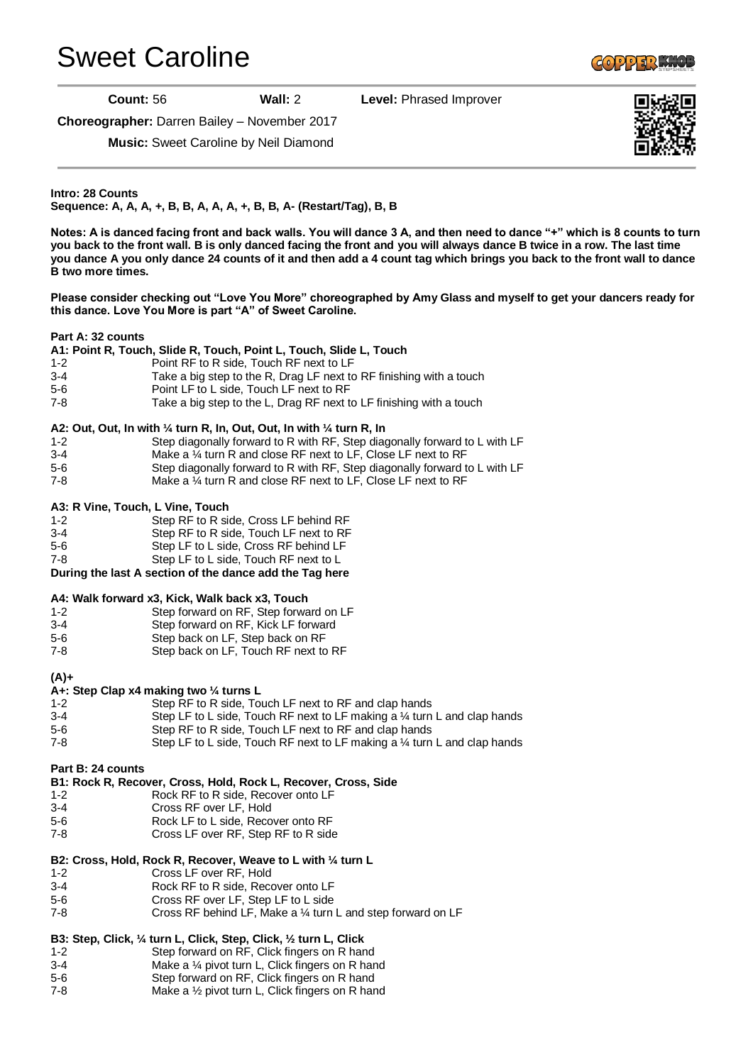# [Sweet Caroline](http://www.copperknob.co.uk/stepsheets/sweet-caroline-ID121651.aspx)

**GOPPER KNOL** 

**Count:** 56 **Wall:** 2 **Level:** Phrased Improver

**Choreographer:** Darren Bailey – November 2017

**Music:** Sweet Caroline by Neil Diamond

**Intro: 28 Counts Sequence: A, A, A, +, B, B, A, A, A, +, B, B, A- (Restart/Tag), B, B**

**Notes: A is danced facing front and back walls. You will dance 3 A, and then need to dance "+" which is 8 counts to turn you back to the front wall. B is only danced facing the front and you will always dance B twice in a row. The last time you dance A you only dance 24 counts of it and then add a 4 count tag which brings you back to the front wall to dance B two more times.**

**Please consider checking out "Love You More" choreographed by Amy Glass and myself to get your dancers ready for this dance. Love You More is part "A" of Sweet Caroline.**

#### **Part A: 32 counts**

**A1: Point R, Touch, Slide R, Touch, Point L, Touch, Slide L, Touch**

- 1-2 Point RF to R side, Touch RF next to LF
- 3-4 Take a big step to the R, Drag LF next to RF finishing with a touch
- 5-6 Point LF to L side, Touch LF next to RF
- 7-8 Take a big step to the L, Drag RF next to LF finishing with a touch

#### **A2: Out, Out, In with ¼ turn R, In, Out, Out, In with ¼ turn R, In**

- 1-2 Step diagonally forward to R with RF, Step diagonally forward to L with LF
- 3-4 Make a ¼ turn R and close RF next to LF, Close LF next to RF
- 5-6 Step diagonally forward to R with RF, Step diagonally forward to L with LF
- 7-8 Make a ¼ turn R and close RF next to LF, Close LF next to RF

#### **A3: R Vine, Touch, L Vine, Touch**

- 1-2 Step RF to R side, Cross LF behind RF
- 3-4 Step RF to R side, Touch LF next to RF
- 5-6 Step LF to L side, Cross RF behind LF
- 7-8 Step LF to L side, Touch RF next to L

**During the last A section of the dance add the Tag here**

#### **A4: Walk forward x3, Kick, Walk back x3, Touch**

- 1-2 Step forward on RF, Step forward on LF
- 3-4 Step forward on RF, Kick LF forward
- 5-6 Step back on LF, Step back on RF
- 7-8 Step back on LF, Touch RF next to RF

**(A)+**

### **A+: Step Clap x4 making two ¼ turns L**

1-2 Step RF to R side, Touch LF next to RF and clap hands 3-4 Step LF to L side, Touch RF next to LF making a ¼ turn L and clap hands 5-6 Step RF to R side, Touch LF next to RF and clap hands 7-8 Step LF to L side, Touch RF next to LF making a ¼ turn L and clap hands

#### **Part B: 24 counts**

- **B1: Rock R, Recover, Cross, Hold, Rock L, Recover, Cross, Side**
- 1-2 Rock RF to R side, Recover onto LF
- 3-4 Cross RF over LF, Hold
- 5-6 Rock LF to L side, Recover onto RF
- 7-8 Cross LF over RF, Step RF to R side

## **B2: Cross, Hold, Rock R, Recover, Weave to L with ¼ turn L**

- 1-2 Cross LF over RF, Hold
- 3-4 Rock RF to R side, Recover onto LF
- 5-6 Cross RF over LF, Step LF to L side
- 7-8 Cross RF behind LF, Make a ¼ turn L and step forward on LF

# **B3: Step, Click, ¼ turn L, Click, Step, Click, ½ turn L, Click**

- 1-2 Step forward on RF, Click fingers on R hand
- 3-4 Make a ¼ pivot turn L, Click fingers on R hand
- 5-6 Step forward on RF, Click fingers on R hand<br>7-8 Make a 1⁄2 pivot turn L. Click fingers on R hand Make a  $\frac{1}{2}$  pivot turn L, Click fingers on R hand